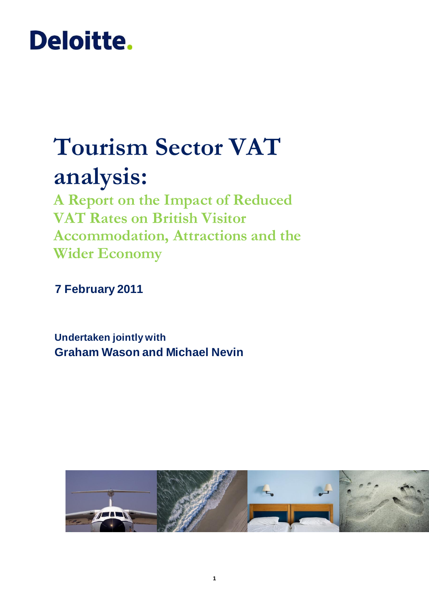# Deloitte.

# **Tourism Sector VAT analysis:**

**A Report on the Impact of Reduced VAT Rates on British Visitor Accommodation, Attractions and the Wider Economy**

**7 February 2011**

**Undertaken jointly with Graham Wason and Michael Nevin**

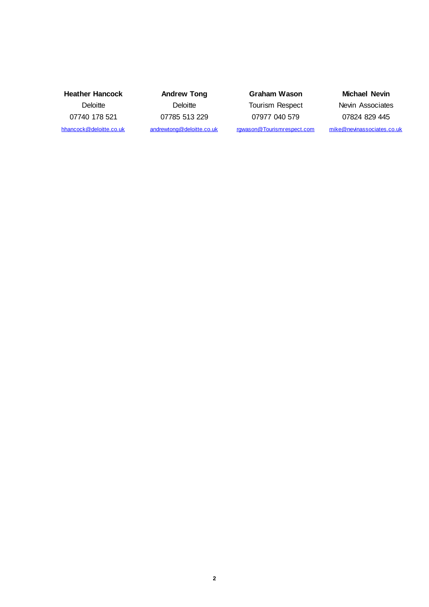**Heather Hancock Deloitte** 07740 178 521 [hhancock@deloitte.co.uk](mailto:hhancock@deloitte.co.uk)

**Andrew Tong Deloitte** 07785 513 229 [andrewtong@deloitte.co.uk](mailto:andrewtong@deloitte.co.uk)

**Graham Wason** Tourism Respect 07977 040 579 [rgwason@Tourismrespect.com](mailto:rgwason@tourismrespect.com)

**Michael Nevin** Nevin Associates 07824 829 445 [mike@nevinassociates.co.uk](mailto:mike@nevinassociates.co.uk)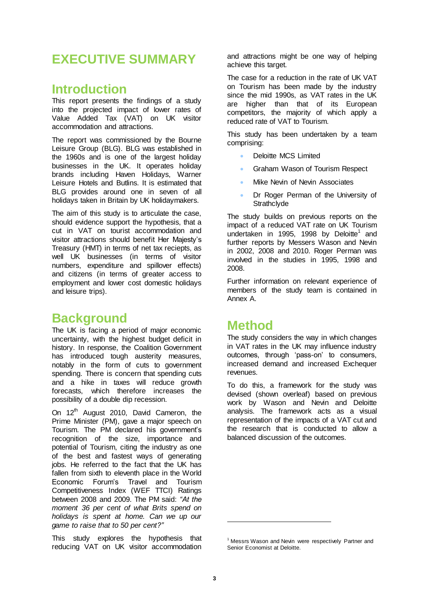# **EXECUTIVE SUMMARY**

### **Introduction**

This report presents the findings of a study into the projected impact of lower rates of Value Added Tax (VAT) on UK visitor accommodation and attractions.

The report was commissioned by the Bourne Leisure Group (BLG). BLG was established in the 1960s and is one of the largest holiday businesses in the UK. It operates holiday brands including Haven Holidays, Warner Leisure Hotels and Butlins. It is estimated that BLG provides around one in seven of all holidays taken in Britain by UK holidaymakers.

The aim of this study is to articulate the case, should evidence support the hypothesis, that a cut in VAT on tourist accommodation and visitor attractions should benefit Her Majesty's Treasury (HMT) in terms of net tax reciepts, as well UK businesses (in terms of visitor numbers, expenditure and spillover effects) and citizens (in terms of greater access to employment and lower cost domestic holidays and leisure trips).

### **Background**

The UK is facing a period of major economic uncertainty, with the highest budget deficit in history. In response, the Coalition Government has introduced tough austerity measures, notably in the form of cuts to government spending. There is concern that spending cuts and a hike in taxes will reduce growth forecasts, which therefore increases the possibility of a double dip recession.

On  $12<sup>th</sup>$  August 2010, David Cameron, the Prime Minister (PM), gave a major speech on Tourism. The PM declared his government's recognition of the size, importance and potential of Tourism, citing the industry as one of the best and fastest ways of generating jobs. He referred to the fact that the UK has fallen from sixth to eleventh place in the World Economic Forum's Travel and Tourism Competitiveness Index (WEF TTCI) Ratings between 2008 and 2009. The PM said: *"At the moment 36 per cent of what Brits spend on holidays is spent at home. Can we up our game to raise that to 50 per cent?"*

This study explores the hypothesis that reducing VAT on UK visitor accommodation

and attractions might be one way of helping achieve this target.

The case for a reduction in the rate of UK VAT on Tourism has been made by the industry since the mid 1990s, as VAT rates in the UK are higher than that of its European competitors, the majority of which apply a reduced rate of VAT to Tourism.

This study has been undertaken by a team comprising:

- Deloitte MCS Limited
- Graham Wason of Tourism Respect
- Mike Nevin of Nevin Associates
- Dr Roger Perman of the University of **Strathclyde**

The study builds on previous reports on the impact of a reduced VAT rate on UK Tourism undertaken in 1995, 1998 by Deloitte<sup>1</sup> and further reports by Messers Wason and Nevin in 2002, 2008 and 2010. Roger Perman was involved in the studies in 1995, 1998 and 2008.

Further information on relevant experience of members of the study team is contained in Annex A.

## **Method**

The study considers the way in which changes in VAT rates in the UK may influence industry outcomes, through 'pass-on' to consumers, increased demand and increased Exchequer revenues.

To do this, a framework for the study was devised (shown overleaf) based on previous work by Wason and Nevin and Deloitte analysis. The framework acts as a visual representation of the impacts of a VAT cut and the research that is conducted to allow a balanced discussion of the outcomes.

<u>.</u>

<sup>&</sup>lt;sup>1</sup> Messrs Wason and Nevin were respectively Partner and Senior Economist at Deloitte.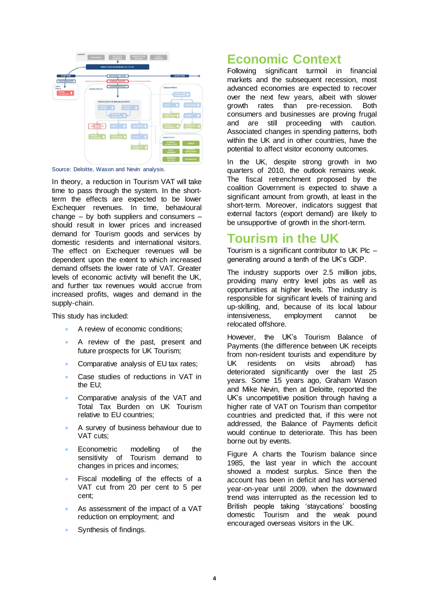

Source: Deloitte, Wason and Nevin analysis.

In theory, a reduction in Tourism VAT will take time to pass through the system. In the shortterm the effects are expected to be lower Exchequer revenues. In time, behavioural change – by both suppliers and consumers – should result in lower prices and increased demand for Tourism goods and services by domestic residents and international visitors. The effect on Exchequer revenues will be dependent upon the extent to which increased demand offsets the lower rate of VAT. Greater levels of economic activity will benefit the UK, and further tax revenues would accrue from increased profits, wages and demand in the supply-chain.

This study has included:

- A review of economic conditions;
- A review of the past, present and future prospects for UK Tourism;
- Comparative analysis of EU tax rates;
- Case studies of reductions in VAT in the EU;
- Comparative analysis of the VAT and Total Tax Burden on UK Tourism relative to EU countries;
- A survey of business behaviour due to VAT cuts;
- Econometric modelling of the sensitivity of Tourism demand to changes in prices and incomes;
- Fiscal modelling of the effects of a VAT cut from 20 per cent to 5 per cent;
- As assessment of the impact of a VAT reduction on employment; and
- Synthesis of findings.

## **Economic Context**

Following significant turmoil in financial markets and the subsequent recession, most advanced economies are expected to recover over the next few years, albeit with slower growth rates than pre-recession. Both consumers and businesses are proving frugal and are still proceeding with caution. Associated changes in spending patterns, both within the UK and in other countries, have the potential to affect visitor economy outcomes.

In the UK, despite strong growth in two quarters of 2010, the outlook remains weak. The fiscal retrenchment proposed by the coalition Government is expected to shave a significant amount from growth, at least in the short-term. Moreover, indicators suggest that external factors (export demand) are likely to be unsupportive of growth in the short-term.

### **Tourism in the UK**

Tourism is a significant contributor to UK  $P$ Ic  $$ generating around a tenth of the UK's GDP.

The industry supports over 2.5 million jobs, providing many entry level jobs as well as opportunities at higher levels. The industry is responsible for significant levels of training and up-skilling, and, because of its local labour intensiveness, employment cannot be relocated offshore.

However, the UK's Tourism Balance of Payments (the difference between UK receipts from non-resident tourists and expenditure by UK residents on visits abroad) has deteriorated significantly over the last 25 years. Some 15 years ago, Graham Wason and Mike Nevin, then at Deloitte, reported the UK's uncompetitive position through having a higher rate of VAT on Tourism than competitor countries and predicted that, if this were not addressed, the Balance of Payments deficit would continue to deteriorate. This has been borne out by events.

Figure A charts the Tourism balance since 1985, the last year in which the account showed a modest surplus. Since then the account has been in deficit and has worsened year-on-year until 2009, when the downward trend was interrupted as the recession led to British people taking 'staycations' boosting domestic Tourism and the weak pound encouraged overseas visitors in the UK.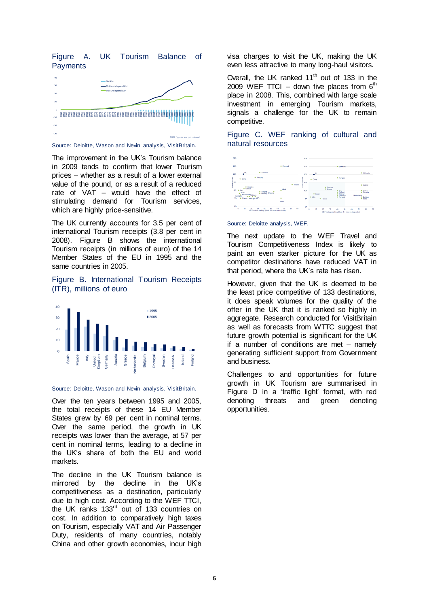Figure A. UK Tourism Balance of **Payments** 



Source: Deloitte, Wason and Nevin analysis, VisitBritain.

The improvement in the UK's Tourism balance in 2009 tends to confirm that lower Tourism prices – whether as a result of a lower external value of the pound, or as a result of a reduced rate of VAT – would have the effect of stimulating demand for Tourism services, which are highly price-sensitive.

The UK currently accounts for 3.5 per cent of international Tourism receipts (3.8 per cent in 2008). Figure B shows the international Tourism receipts (in millions of euro) of the 14 Member States of the EU in 1995 and the same countries in 2005.

#### Figure B. International Tourism Receipts (ITR), millions of euro



#### Source: Deloitte, Wason and Nevin analysis, VisitBritain.

Over the ten years between 1995 and 2005, the total receipts of these 14 EU Member States grew by 69 per cent in nominal terms. Over the same period, the growth in UK receipts was lower than the average, at 57 per cent in nominal terms, leading to a decline in the UK's share of both the EU and world markets.

The decline in the UK Tourism balance is mirrored by the decline in the UK's competitiveness as a destination, particularly due to high cost. According to the WEF TTCI, the UK ranks 133<sup>rd</sup> out of 133 countries on cost. In addition to comparatively high taxes on Tourism, especially VAT and Air Passenger Duty, residents of many countries, notably China and other growth economies, incur high

visa charges to visit the UK, making the UK even less attractive to many long-haul visitors.

Overall, the UK ranked  $11<sup>th</sup>$  out of 133 in the 2009 WEF TTCI – down five places from  $6<sup>th</sup>$ place in 2008. This, combined with large scale investment in emerging Tourism markets, signals a challenge for the UK to remain competitive.





#### Source: Deloitte analysis, WEF.

The next update to the WEF Travel and Tourism Competitiveness Index is likely to paint an even starker picture for the UK as competitor destinations have reduced VAT in that period, where the UK's rate has risen.

However, given that the UK is deemed to be the least price competitive of 133 destinations, it does speak volumes for the quality of the offer in the UK that it is ranked so highly in aggregate. Research conducted for VisitBritain as well as forecasts from WTTC suggest that future growth potential is significant for the UK if a number of conditions are met – namely generating sufficient support from Government and business.

Challenges to and opportunities for future growth in UK Tourism are summarised in Figure D in a 'traffic light' format, with red denoting threats and green denoting opportunities.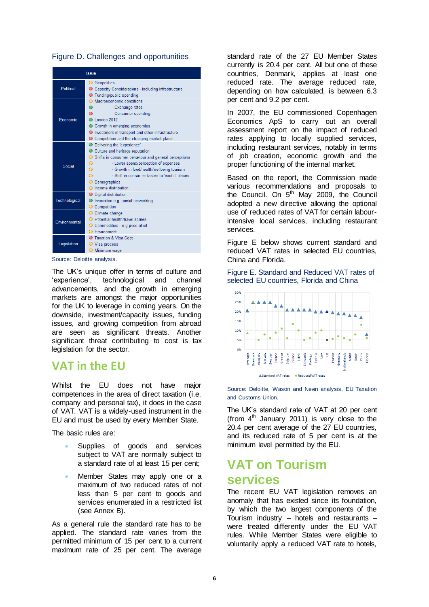#### Figure D. Challenges and opportunities

| <b>Issue</b>              |                                                             |  |  |
|---------------------------|-------------------------------------------------------------|--|--|
|                           | <b>O</b> Geopolitics                                        |  |  |
| Political                 | ● Capacity Considerations - including infrastructure        |  |  |
|                           | ● Funding/public spending                                   |  |  |
|                           | Macroeconomic conditions<br>$\bigcirc$                      |  |  |
| Economic                  | - Exchange rates<br>Ο                                       |  |  |
|                           | $\circ$<br>- Consumer spending                              |  |  |
|                           | l ondon 2012                                                |  |  |
|                           | Growth in emerging economies                                |  |  |
|                           | ● Investment in transport and other infrastructure          |  |  |
|                           | ● Competition and the changing market place                 |  |  |
|                           | ● Delivering the 'experience'                               |  |  |
|                           | ● Culture and heritage reputation                           |  |  |
|                           | ◯ Shifts in consumer behaviour and general perceptions      |  |  |
| Social                    | - Lower spend/perception of expenses<br>O                   |  |  |
|                           | $\overline{O}$<br>- Growth in food/health/wellbeing tourism |  |  |
|                           | $\circ$<br>- Shift in consumer tastes to 'exotic' places    |  |  |
|                           | O Demographics                                              |  |  |
|                           | ○ Income distribution                                       |  |  |
|                           | ◯ Digital distribution                                      |  |  |
| Technological             | Innovation e.g. social networking                           |  |  |
|                           | Competition                                                 |  |  |
|                           | Climate change                                              |  |  |
| Environmental             | ◯ Potential health/travel scares                            |  |  |
|                           | ○ Commodities - e.g price of oil                            |  |  |
|                           | <b>O</b> Environment                                        |  |  |
| Legislation               | <b>C</b> Taxation & Visa Cost                               |  |  |
|                           | ◯ Visa process                                              |  |  |
|                           | <b>O</b> Minimum wage                                       |  |  |
| Source: Deloitte analysis |                                                             |  |  |

Source: Deloitte analysis.

The UK's unique offer in terms of culture and 'experience', technological and channel advancements, and the growth in emerging markets are amongst the major opportunities for the UK to leverage in coming years. On the downside, investment/capacity issues, funding issues, and growing competition from abroad are seen as significant threats. Another significant threat contributing to cost is tax legislation for the sector.

### **VAT in the EU**

Whilst the EU does not have major competences in the area of direct taxation (i.e. company and personal tax), it does in the case of VAT. VAT is a widely-used instrument in the EU and must be used by every Member State.

The basic rules are:

- Supplies of goods and services subject to VAT are normally subject to a standard rate of at least 15 per cent;
- Member States may apply one or a maximum of two reduced rates of not less than 5 per cent to goods and services enumerated in a restricted list (see Annex B).

As a general rule the standard rate has to be applied. The standard rate varies from the permitted minimum of 15 per cent to a current maximum rate of 25 per cent. The average

standard rate of the 27 EU Member States currently is 20.4 per cent. All but one of these countries, Denmark, applies at least one reduced rate. The average reduced rate, depending on how calculated, is between 6.3 per cent and 9.2 per cent.

In 2007, the EU commissioned Copenhagen Economics ApS to carry out an overall assessment report on the impact of reduced rates applying to locally supplied services, including restaurant services, notably in terms of job creation, economic growth and the proper functioning of the internal market.

Based on the report, the Commission made various recommendations and proposals to the Council. On  $5<sup>th</sup>$  May 2009, the Council adopted a new directive allowing the optional use of reduced rates of VAT for certain labourintensive local services, including restaurant services.

Figure E below shows current standard and reduced VAT rates in selected EU countries, China and Florida.

Figure E. Standard and Reduced VAT rates of selected EU countries, Florida and China



Source: Deloitte, Wason and Nevin analysis, EU Taxation and Customs Union.

The UK's standard rate of VAT at 20 per cent (from  $4<sup>th</sup>$  January 2011) is very close to the 20.4 per cent average of the 27 EU countries, and its reduced rate of 5 per cent is at the minimum level permitted by the EU.

### **VAT on Tourism services**

The recent EU VAT legislation removes an anomaly that has existed since its foundation, by which the two largest components of the Tourism industry – hotels and restaurants – were treated differently under the EU VAT rules. While Member States were eligible to voluntarily apply a reduced VAT rate to hotels,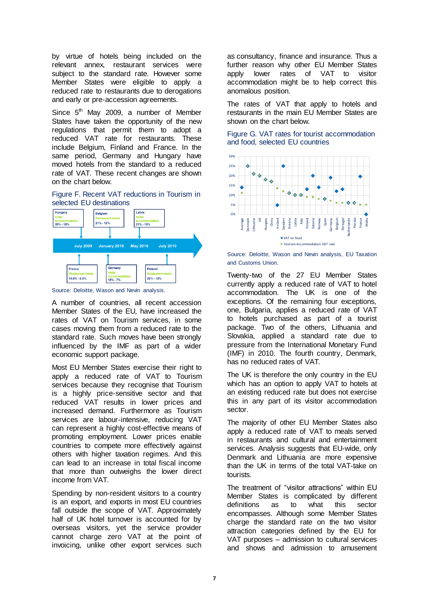by virtue of hotels being included on the relevant annex, restaurant services were subject to the standard rate. However some Member States were eligible to apply a reduced rate to restaurants due to derogations and early or pre-accession agreements.

Since  $5<sup>th</sup>$  May 2009, a number of Member States have taken the opportunity of the new regulations that permit them to adopt a reduced VAT rate for restaurants. These include Belgium, Finland and France. In the same period, Germany and Hungary have moved hotels from the standard to a reduced rate of VAT. These recent changes are shown on the chart below.





Source: Deloitte, Wason and Nevin analysis.

A number of countries, all recent accession Member States of the EU, have increased the rates of VAT on Tourism services, in some cases moving them from a reduced rate to the standard rate. Such moves have been strongly influenced by the IMF as part of a wider economic support package.

Most EU Member States exercise their right to apply a reduced rate of VAT to Tourism services because they recognise that Tourism is a highly price-sensitive sector and that reduced VAT results in lower prices and increased demand. Furthermore as Tourism services are labour-intensive, reducing VAT can represent a highly cost-effective means of promoting employment. Lower prices enable countries to compete more effectively against others with higher taxation regimes. And this can lead to an increase in total fiscal income that more than outweighs the lower direct income from VAT.

Spending by non-resident visitors to a country is an export, and exports in most EU countries fall outside the scope of VAT. Approximately half of UK hotel turnover is accounted for by overseas visitors, yet the service provider cannot charge zero VAT at the point of invoicing, unlike other export services such

as consultancy, finance and insurance. Thus a further reason why other EU Member States apply lower rates of VAT to visitor accommodation might be to help correct this anomalous position.

The rates of VAT that apply to hotels and restaurants in the main EU Member States are shown on the chart below.

Figure G. VAT rates for tourist accommodation and food, selected EU countries



Source: Deloitte, Wason and Nevin analysis, EU Taxation and Customs Union.

Twenty-two of the 27 EU Member States currently apply a reduced rate of VAT to hotel accommodation. The UK is one of the exceptions. Of the remaining four exceptions, one, Bulgaria, applies a reduced rate of VAT to hotels purchased as part of a tourist package. Two of the others, Lithuania and Slovakia, applied a standard rate due to pressure from the International Monetary Fund (IMF) in 2010. The fourth country, Denmark, has no reduced rates of VAT.

The UK is therefore the only country in the EU which has an option to apply VAT to hotels at an existing reduced rate but does not exercise this in any part of its visitor accommodation sector.

The majority of other EU Member States also apply a reduced rate of VAT to meals served in restaurants and cultural and entertainment services. Analysis suggests that EU-wide, only Denmark and Lithuania are more expensive than the UK in terms of the total VAT-take on tourists.

The treatment of "visitor attractions" within EU Member States is complicated by different definitions as to what this sector encompasses. Although some Member States charge the standard rate on the two visitor attraction categories defined by the EU for VAT purposes – admission to cultural services and shows and admission to amusement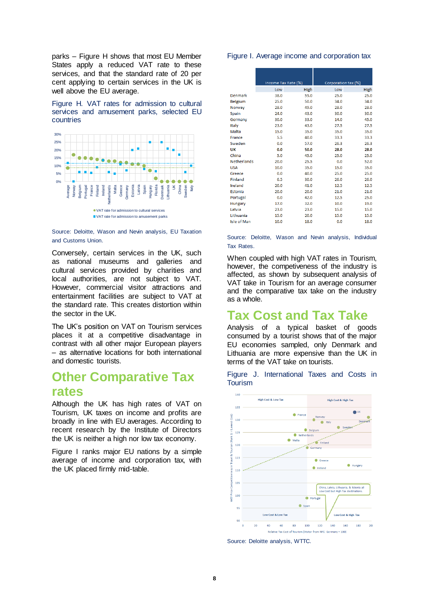parks – Figure H shows that most EU Member States apply a reduced VAT rate to these services, and that the standard rate of 20 per cent applying to certain services in the UK is well above the EU average.

Figure H. VAT rates for admission to cultural services and amusement parks, selected EU countries



Source: Deloitte, Wason and Nevin analysis, EU Taxation and Customs Union.

Conversely, certain services in the UK, such as national museums and galleries and cultural services provided by charities and local authorities, are not subject to VAT. However, commercial visitor attractions and entertainment facilities are subject to VAT at the standard rate. This creates distortion within the sector in the UK.

The UK's position on VAT on Tourism services places it at a competitive disadvantage in contrast with all other major European players – as alternative locations for both international and domestic tourists.

### **Other Comparative Tax rates**

Although the UK has high rates of VAT on Tourism, UK taxes on income and profits are broadly in line with EU averages. According to recent research by the Institute of Directors the UK is neither a high nor low tax economy.

Figure I ranks major EU nations by a simple average of income and corporation tax, with the UK placed firmly mid-table.

#### Figure I. Average income and corporation tax

|                    | Income Tax Rate (%) |             | Corporation tax (%) |      |
|--------------------|---------------------|-------------|---------------------|------|
|                    | Low                 | <b>High</b> | Low                 | High |
| <b>Denmark</b>     | 38.0                | 59.0        | 25.0                | 25.0 |
| <b>Belgium</b>     | 25.0                | 50.0        | 34.0                | 34.0 |
| Norway             | 28.0                | 49.0        | 28.0                | 28.0 |
| Spain              | 24.0                | 43.0        | 30.0                | 30.0 |
| Germany            | 30.0                | 33.0        | 14.0                | 45.0 |
| Italy              | 23.0                | 43.0        | 27.5                | 27.5 |
| Malta              | 15.0                | 35.0        | 35.0                | 35.0 |
| France             | 5.5                 | 40.0        | 33.3                | 33.3 |
| Sweden             | 0.0                 | 57.0        | 26.3                | 26.3 |
| UΚ                 | 0.0                 | 50.0        | 28.0                | 28.0 |
| China              | 5.0                 | 45.0        | 25.0                | 25.0 |
| <b>Netherlands</b> | 20.0                | 25.5        | 0.0                 | 52.0 |
| <b>USA</b>         | 10.0                | 35.0        | 15.0                | 35.0 |
| Greece             | 0.0                 | 40.0        | 25.0                | 25.0 |
| <b>Finland</b>     | 6.5                 | 30.0        | 26.0                | 26.0 |
| Ireland            | 20.0                | 41.0        | 12.5                | 12.5 |
| Estonia            | 20.0                | 20.0        | 21.0                | 21.0 |
| Portugal           | 0.0                 | 42.0        | 12.5                | 25.0 |
| Hungary            | 17.0                | 32.0        | 10.0                | 19.0 |
| Latvia             | 23.0                | 23.0        | 15.0                | 15.0 |
| Lithuania          | 15.0                | 20.0        | 15.0                | 15.0 |
| Isle of Man        | 10.0                | 18.0        | 0.0                 | 18.0 |

Source: Deloitte, Wason and Nevin analysis, Individual Tax Rates.

When coupled with high VAT rates in Tourism, however, the competiveness of the industry is affected, as shown by subsequent analysis of VAT take in Tourism for an average consumer and the comparative tax take on the industry as a whole.

### **Tax Cost and Tax Take**

Analysis of a typical basket of goods consumed by a tourist shows that of the major EU economies sampled, only Denmark and Lithuania are more expensive than the UK in terms of the VAT take on tourists.

Figure J. International Taxes and Costs in Tourism



Source: Deloitte analysis, WTTC.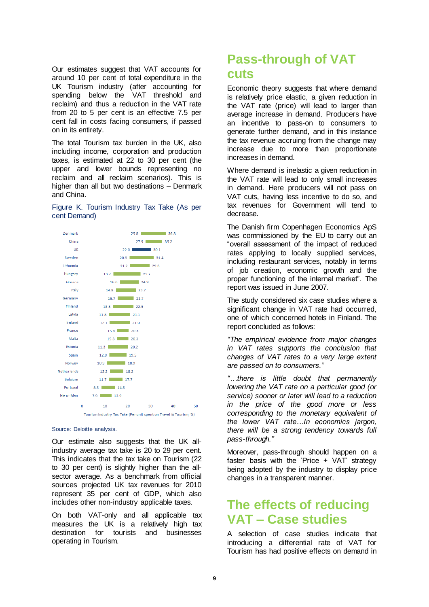Our estimates suggest that VAT accounts for around 10 per cent of total expenditure in the UK Tourism industry (after accounting for spending below the VAT threshold and reclaim) and thus a reduction in the VAT rate from 20 to 5 per cent is an effective 7.5 per cent fall in costs facing consumers, if passed on in its entirety.

The total Tourism tax burden in the UK, also including income, corporation and production taxes, is estimated at 22 to 30 per cent (the upper and lower bounds representing no reclaim and all reclaim scenarios). This is higher than all but two destinations – Denmark and China.

#### Figure K. Tourism Industry Tax Take (As per cent Demand)



#### Source: Deloitte analysis.

Our estimate also suggests that the UK allindustry average tax take is 20 to 29 per cent. This indicates that the tax take on Tourism (22 to 30 per cent) is slightly higher than the allsector average. As a benchmark from official sources projected UK tax revenues for 2010 represent 35 per cent of GDP, which also includes other non-industry applicable taxes.

On both VAT-only and all applicable tax measures the UK is a relatively high tax destination for tourists and businesses operating in Tourism.

### **Pass-through of VAT cuts**

Economic theory suggests that where demand is relatively price elastic, a given reduction in the VAT rate (price) will lead to larger than average increase in demand. Producers have an incentive to pass-on to consumers to generate further demand, and in this instance the tax revenue accruing from the change may increase due to more than proportionate increases in demand.

Where demand is inelastic a given reduction in the VAT rate will lead to only small increases in demand. Here producers will not pass on VAT cuts, having less incentive to do so, and tax revenues for Government will tend to decrease.

The Danish firm Copenhagen Economics ApS was commissioned by the EU to carry out an "overall assessment of the impact of reduced rates applying to locally supplied services, including restaurant services, notably in terms of job creation, economic growth and the proper functioning of the internal market". The report was issued in June 2007.

The study considered six case studies where a significant change in VAT rate had occurred, one of which concerned hotels in Finland. The report concluded as follows:

*"The empirical evidence from major changes in VAT rates supports the conclusion that changes of VAT rates to a very large extent are passed on to consumers."*

*"…there is little doubt that permanently lowering the VAT rate on a particular good (or service) sooner or later will lead to a reduction in the price of the good more or less corresponding to the monetary equivalent of the lower VAT rate…In economics jargon, there will be a strong tendency towards full pass-through."*

Moreover, pass-through should happen on a faster basis with the 'Price + VAT' strategy being adopted by the industry to display price changes in a transparent manner.

### **The effects of reducing VAT – Case studies**

A selection of case studies indicate that introducing a differential rate of VAT for Tourism has had positive effects on demand in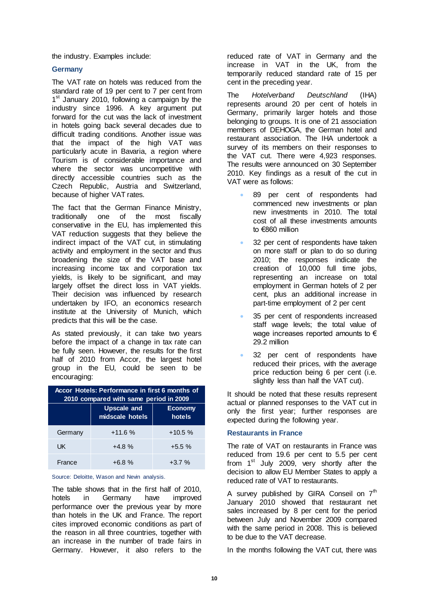the industry. Examples include:

#### **Germany**

The VAT rate on hotels was reduced from the standard rate of 19 per cent to 7 per cent from 1<sup>st</sup> January 2010, following a campaign by the industry since 1996. A key argument put forward for the cut was the lack of investment in hotels going back several decades due to difficult trading conditions. Another issue was that the impact of the high VAT was particularly acute in Bavaria, a region where Tourism is of considerable importance and where the sector was uncompetitive with directly accessible countries such as the Czech Republic, Austria and Switzerland, because of higher VAT rates.

The fact that the German Finance Ministry, traditionally one of the most fiscally conservative in the EU, has implemented this VAT reduction suggests that they believe the indirect impact of the VAT cut, in stimulating activity and employment in the sector and thus broadening the size of the VAT base and increasing income tax and corporation tax yields, is likely to be significant, and may largely offset the direct loss in VAT yields. Their decision was influenced by research undertaken by IFO, an economics research institute at the University of Munich, which predicts that this will be the case.

As stated previously, it can take two years before the impact of a change in tax rate can be fully seen. However, the results for the first half of 2010 from Accor, the largest hotel group in the EU, could be seen to be encouraging:

| Accor Hotels: Performance in first 6 months of<br>2010 compared with same period in 2009 |                                       |                          |  |  |
|------------------------------------------------------------------------------------------|---------------------------------------|--------------------------|--|--|
|                                                                                          | <b>Upscale and</b><br>midscale hotels | <b>Economy</b><br>hotels |  |  |
| Germany                                                                                  | $+11.6%$                              | $+10.5%$                 |  |  |
| UK                                                                                       | $+4.8%$                               | $+5.5%$                  |  |  |
| France                                                                                   | $+6.8%$                               | $+3.7%$                  |  |  |

Source: Deloitte, Wason and Nevin analysis.

The table shows that in the first half of 2010, hotels in Germany have improved performance over the previous year by more than hotels in the UK and France. The report cites improved economic conditions as part of the reason in all three countries, together with an increase in the number of trade fairs in Germany. However, it also refers to the

reduced rate of VAT in Germany and the increase in VAT in the UK, from the temporarily reduced standard rate of 15 per cent in the preceding year.

The *Hotelverband Deutschland* (IHA) represents around 20 per cent of hotels in Germany, primarily larger hotels and those belonging to groups. It is one of 21 association members of DEHOGA, the German hotel and restaurant association. The IHA undertook a survey of its members on their responses to the VAT cut. There were 4,923 responses. The results were announced on 30 September 2010. Key findings as a result of the cut in VAT were as follows:

- 89 per cent of respondents had commenced new investments or plan new investments in 2010. The total cost of all these investments amounts to €860 million
- 32 per cent of respondents have taken on more staff or plan to do so during 2010; the responses indicate the creation of 10,000 full time jobs, representing an increase on total employment in German hotels of 2 per cent, plus an additional increase in part-time employment of 2 per cent
- 35 per cent of respondents increased staff wage levels; the total value of wage increases reported amounts to € 29.2 million
- 32 per cent of respondents have reduced their prices, with the average price reduction being 6 per cent (i.e. slightly less than half the VAT cut).

It should be noted that these results represent actual or planned responses to the VAT cut in only the first year; further responses are expected during the following year.

#### **Restaurants in France**

The rate of VAT on restaurants in France was reduced from 19.6 per cent to 5.5 per cent from 1<sup>st</sup> July 2009, very shortly after the decision to allow EU Member States to apply a reduced rate of VAT to restaurants.

A survey published by GIRA Conseil on  $7<sup>th</sup>$ January 2010 showed that restaurant net sales increased by 8 per cent for the period between July and November 2009 compared with the same period in 2008. This is believed to be due to the VAT decrease.

In the months following the VAT cut, there was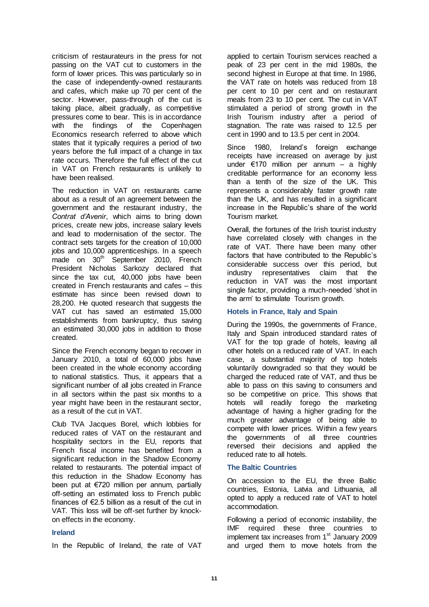criticism of restaurateurs in the press for not passing on the VAT cut to customers in the form of lower prices. This was particularly so in the case of independently-owned restaurants and cafes, which make up 70 per cent of the sector. However, pass-through of the cut is taking place, albeit gradually, as competitive pressures come to bear. This is in accordance with the findings of the Copenhagen Economics research referred to above which states that it typically requires a period of two years before the full impact of a change in tax rate occurs. Therefore the full effect of the cut in VAT on French restaurants is unlikely to have been realised.

The reduction in VAT on restaurants came about as a result of an agreement between the government and the restaurant industry, the *Contrat d'Avenir*, which aims to bring down prices, create new jobs, increase salary levels and lead to modernisation of the sector. The contract sets targets for the creation of 10,000 jobs and 10,000 apprenticeships. In a speech  $m$ ade on  $30<sup>th</sup>$  September 2010, French President Nicholas Sarkozy declared that since the tax cut, 40,000 jobs have been created in French restaurants and cafes – this estimate has since been revised down to 28,200. He quoted research that suggests the VAT cut has saved an estimated 15,000 establishments from bankruptcy, thus saving an estimated 30,000 jobs in addition to those created.

Since the French economy began to recover in January 2010, a total of 60,000 jobs have been created in the whole economy according to national statistics. Thus, it appears that a significant number of all jobs created in France in all sectors within the past six months to a year might have been in the restaurant sector, as a result of the cut in VAT.

Club TVA Jacques Borel, which lobbies for reduced rates of VAT on the restaurant and hospitality sectors in the EU, reports that French fiscal income has benefited from a significant reduction in the Shadow Economy related to restaurants. The potential impact of this reduction in the Shadow Economy has been put at €720 million per annum, partially off-setting an estimated loss to French public finances of €2.5 billion as a result of the cut in VAT. This loss will be off-set further by knockon effects in the economy.

#### **Ireland**

In the Republic of Ireland, the rate of VAT

applied to certain Tourism services reached a peak of 23 per cent in the mid 1980s, the second highest in Europe at that time. In 1986, the VAT rate on hotels was reduced from 18 per cent to 10 per cent and on restaurant meals from 23 to 10 per cent. The cut in VAT stimulated a period of strong growth in the Irish Tourism industry after a period of stagnation. The rate was raised to 12.5 per cent in 1990 and to 13.5 per cent in 2004.

Since 1980, Ireland's foreign exchange receipts have increased on average by just under €170 million per annum – a highly creditable performance for an economy less than a tenth of the size of the UK. This represents a considerably faster growth rate than the UK, and has resulted in a significant increase in the Republic's share of the world Tourism market.

Overall, the fortunes of the Irish tourist industry have correlated closely with changes in the rate of VAT. There have been many other factors that have contributed to the Republic's considerable success over this period, but industry representatives claim that the reduction in VAT was the most important single factor, providing a much-needed 'shot in the arm' to stimulate Tourism growth.

#### **Hotels in France, Italy and Spain**

During the 1990s, the governments of France, Italy and Spain introduced standard rates of VAT for the top grade of hotels, leaving all other hotels on a reduced rate of VAT. In each case, a substantial majority of top hotels voluntarily downgraded so that they would be charged the reduced rate of VAT, and thus be able to pass on this saving to consumers and so be competitive on price. This shows that hotels will readily forego the marketing advantage of having a higher grading for the much greater advantage of being able to compete with lower prices. Within a few years the governments of all three countries reversed their decisions and applied the reduced rate to all hotels.

#### **The Baltic Countries**

On accession to the EU, the three Baltic countries, Estonia, Latvia and Lithuania, all opted to apply a reduced rate of VAT to hotel accommodation.

Following a period of economic instability, the IMF required these three countries to implement tax increases from 1<sup>st</sup> January 2009 and urged them to move hotels from the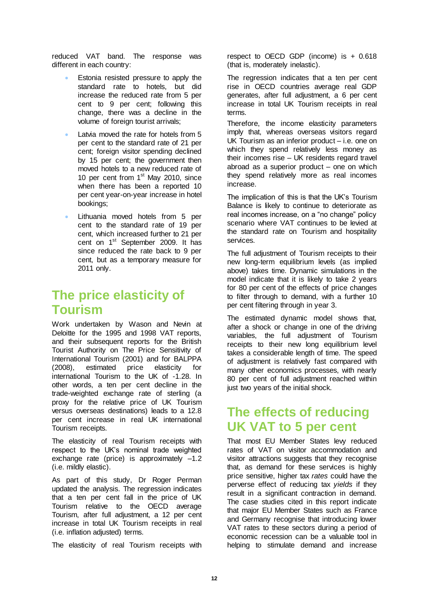reduced VAT band. The response was different in each country:

- Estonia resisted pressure to apply the standard rate to hotels, but did increase the reduced rate from 5 per cent to 9 per cent; following this change, there was a decline in the volume of foreign tourist arrivals;
- Latvia moved the rate for hotels from 5 per cent to the standard rate of 21 per cent; foreign visitor spending declined by 15 per cent; the government then moved hotels to a new reduced rate of 10 per cent from 1<sup>st</sup> May 2010, since when there has been a reported 10 per cent year-on-year increase in hotel bookings;
- Lithuania moved hotels from 5 per cent to the standard rate of 19 per cent, which increased further to 21 per cent on 1st September 2009. It has since reduced the rate back to 9 per cent, but as a temporary measure for 2011 only.

# **The price elasticity of Tourism**

Work undertaken by Wason and Nevin at Deloitte for the 1995 and 1998 VAT reports, and their subsequent reports for the British Tourist Authority on The Price Sensitivity of International Tourism (2001) and for BALPPA (2008), estimated price elasticity for international Tourism to the UK of -1.28. In other words, a ten per cent decline in the trade-weighted exchange rate of sterling (a proxy for the relative price of UK Tourism versus overseas destinations) leads to a 12.8 per cent increase in real UK international Tourism receipts.

The elasticity of real Tourism receipts with respect to the UK's nominal trade weighted exchange rate (price) is approximately –1.2 (i.e. mildly elastic).

As part of this study, Dr Roger Perman updated the analysis. The regression indicates that a ten per cent fall in the price of UK Tourism relative to the OECD average Tourism, after full adjustment, a 12 per cent increase in total UK Tourism receipts in real (i.e. inflation adjusted) terms.

The elasticity of real Tourism receipts with

respect to OECD GDP (income) is  $+0.618$ (that is, moderately inelastic).

The regression indicates that a ten per cent rise in OECD countries average real GDP generates, after full adjustment, a 6 per cent increase in total UK Tourism receipts in real terms.

Therefore, the income elasticity parameters imply that, whereas overseas visitors regard UK Tourism as an inferior product – i.e. one on which they spend relatively less money as their incomes rise – UK residents regard travel abroad as a superior product – one on which they spend relatively more as real incomes increase.

The implication of this is that the UK's Tourism Balance is likely to continue to deteriorate as real incomes increase, on a "no change" policy scenario where VAT continues to be levied at the standard rate on Tourism and hospitality services.

The full adjustment of Tourism receipts to their new long-term equilibrium levels (as implied above) takes time. Dynamic simulations in the model indicate that it is likely to take 2 years for 80 per cent of the effects of price changes to filter through to demand, with a further 10 per cent filtering through in year 3.

The estimated dynamic model shows that, after a shock or change in one of the driving variables, the full adjustment of Tourism receipts to their new long equilibrium level takes a considerable length of time. The speed of adjustment is relatively fast compared with many other economics processes, with nearly 80 per cent of full adjustment reached within just two years of the initial shock.

## **The effects of reducing UK VAT to 5 per cent**

That most EU Member States levy reduced rates of VAT on visitor accommodation and visitor attractions suggests that they recognise that, as demand for these services is highly price sensitive, higher tax *rates* could have the perverse effect of reducing tax *yields* if they result in a significant contraction in demand. The case studies cited in this report indicate that major EU Member States such as France and Germany recognise that introducing lower VAT rates to these sectors during a period of economic recession can be a valuable tool in helping to stimulate demand and increase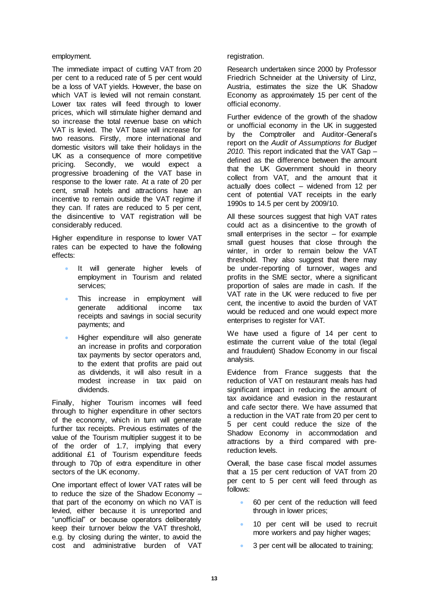#### employment.

The immediate impact of cutting VAT from 20 per cent to a reduced rate of 5 per cent would be a loss of VAT yields. However, the base on which VAT is levied will not remain constant. Lower tax rates will feed through to lower prices, which will stimulate higher demand and so increase the total revenue base on which VAT is levied. The VAT base will increase for two reasons. Firstly, more international and domestic visitors will take their holidays in the UK as a consequence of more competitive pricing. Secondly, we would expect a progressive broadening of the VAT base in response to the lower rate. At a rate of 20 per cent, small hotels and attractions have an incentive to remain outside the VAT regime if they can. If rates are reduced to 5 per cent, the disincentive to VAT registration will be considerably reduced.

Higher expenditure in response to lower VAT rates can be expected to have the following effects:

- It will generate higher levels of employment in Tourism and related services;
- This increase in employment will generate additional income tax receipts and savings in social security payments; and
- Higher expenditure will also generate an increase in profits and corporation tax payments by sector operators and, to the extent that profits are paid out as dividends, it will also result in a modest increase in tax paid on dividends.

Finally, higher Tourism incomes will feed through to higher expenditure in other sectors of the economy, which in turn will generate further tax receipts. Previous estimates of the value of the Tourism multiplier suggest it to be of the order of 1.7, implying that every additional £1 of Tourism expenditure feeds through to 70p of extra expenditure in other sectors of the UK economy.

One important effect of lower VAT rates will be to reduce the size of the Shadow Economy – that part of the economy on which no VAT is levied, either because it is unreported and "unofficial" or because operators deliberately keep their turnover below the VAT threshold, e.g. by closing during the winter, to avoid the cost and administrative burden of VAT

#### registration.

Research undertaken since 2000 by Professor Friedrich Schneider at the University of Linz, Austria, estimates the size the UK Shadow Economy as approximately 15 per cent of the official economy.

Further evidence of the growth of the shadow or unofficial economy in the UK in suggested by the Comptroller and Auditor-General's report on the *Audit of Assumptions for Budget 2010*. This report indicated that the VAT Gap – defined as the difference between the amount that the UK Government should in theory collect from VAT, and the amount that it actually does collect – widened from 12 per cent of potential VAT receipts in the early 1990s to 14.5 per cent by 2009/10.

All these sources suggest that high VAT rates could act as a disincentive to the growth of small enterprises in the sector – for example small guest houses that close through the winter, in order to remain below the VAT threshold. They also suggest that there may be under-reporting of turnover, wages and profits in the SME sector, where a significant proportion of sales are made in cash. If the VAT rate in the UK were reduced to five per cent, the incentive to avoid the burden of VAT would be reduced and one would expect more enterprises to register for VAT.

We have used a figure of 14 per cent to estimate the current value of the total (legal and fraudulent) Shadow Economy in our fiscal analysis.

Evidence from France suggests that the reduction of VAT on restaurant meals has had significant impact in reducing the amount of tax avoidance and evasion in the restaurant and cafe sector there. We have assumed that a reduction in the VAT rate from 20 per cent to 5 per cent could reduce the size of the Shadow Economy in accommodation and attractions by a third compared with prereduction levels.

Overall, the base case fiscal model assumes that a 15 per cent reduction of VAT from 20 per cent to 5 per cent will feed through as follows:

- 60 per cent of the reduction will feed through in lower prices;
- 10 per cent will be used to recruit more workers and pay higher wages;
- 3 per cent will be allocated to training;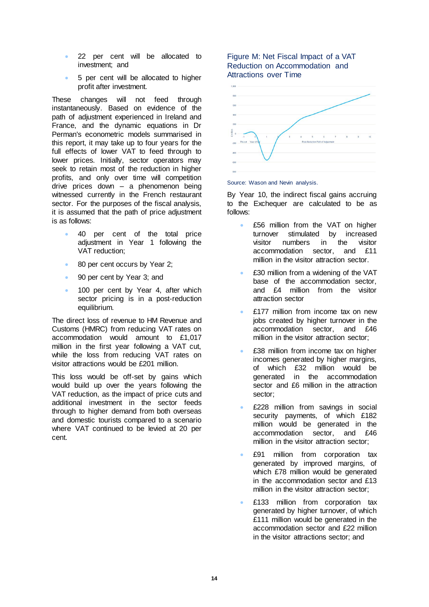- 22 per cent will be allocated to investment; and
- 5 per cent will be allocated to higher profit after investment.

These changes will not feed through instantaneously. Based on evidence of the path of adjustment experienced in Ireland and France, and the dynamic equations in Dr Perman's econometric models summarised in this report, it may take up to four years for the full effects of lower VAT to feed through to lower prices. Initially, sector operators may seek to retain most of the reduction in higher profits, and only over time will competition drive prices down – a phenomenon being witnessed currently in the French restaurant sector. For the purposes of the fiscal analysis, it is assumed that the path of price adjustment is as follows:

- 40 per cent of the total price adjustment in Year 1 following the VAT reduction;
- 80 per cent occurs by Year 2;
- 90 per cent by Year 3; and
- 100 per cent by Year 4, after which sector pricing is in a post-reduction equilibrium.

The direct loss of revenue to HM Revenue and Customs (HMRC) from reducing VAT rates on accommodation would amount to £1,017 million in the first year following a VAT cut, while the loss from reducing VAT rates on visitor attractions would be £201 million.

This loss would be off-set by gains which would build up over the years following the VAT reduction, as the impact of price cuts and additional investment in the sector feeds through to higher demand from both overseas and domestic tourists compared to a scenario where VAT continued to be levied at 20 per cent.

#### Figure M: Net Fiscal Impact of a VAT Reduction on Accommodation and Attractions over Time



#### Source: Wason and Nevin analysis.

By Year 10, the indirect fiscal gains accruing to the Exchequer are calculated to be as follows:

- £56 million from the VAT on higher turnover stimulated by increased visitor numbers in the visitor accommodation sector, and £11 million in the visitor attraction sector.
- £30 million from a widening of the VAT base of the accommodation sector, and £4 million from the visitor attraction sector
- £177 million from income tax on new jobs created by higher turnover in the accommodation sector, and £46 million in the visitor attraction sector;
- £38 million from income tax on higher incomes generated by higher margins, of which £32 million would be generated in the accommodation sector and £6 million in the attraction sector;
- £228 million from savings in social security payments, of which £182 million would be generated in the accommodation sector, and £46 million in the visitor attraction sector;
- £91 million from corporation tax generated by improved margins, of which £78 million would be generated in the accommodation sector and £13 million in the visitor attraction sector;
- £133 million from corporation tax generated by higher turnover, of which £111 million would be generated in the accommodation sector and £22 million in the visitor attractions sector; and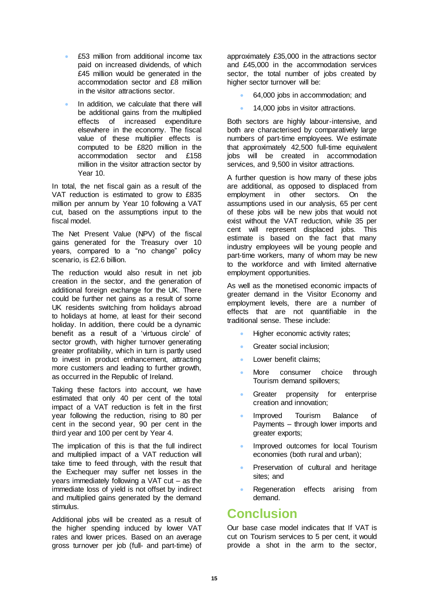- £53 million from additional income tax paid on increased dividends, of which £45 million would be generated in the accommodation sector and £8 million in the visitor attractions sector.
- In addition, we calculate that there will be additional gains from the multiplied effects of increased expenditure elsewhere in the economy. The fiscal value of these multiplier effects is computed to be £820 million in the accommodation sector and £158 million in the visitor attraction sector by Year 10.

In total, the net fiscal gain as a result of the VAT reduction is estimated to grow to £835 million per annum by Year 10 following a VAT cut, based on the assumptions input to the fiscal model.

The Net Present Value (NPV) of the fiscal gains generated for the Treasury over 10 years, compared to a "no change" policy scenario, is £2.6 billion.

The reduction would also result in net job creation in the sector, and the generation of additional foreign exchange for the UK. There could be further net gains as a result of some UK residents switching from holidays abroad to holidays at home, at least for their second holiday. In addition, there could be a dynamic benefit as a result of a 'virtuous circle' of sector growth, with higher turnover generating greater profitability, which in turn is partly used to invest in product enhancement, attracting more customers and leading to further growth, as occurred in the Republic of Ireland.

Taking these factors into account, we have estimated that only 40 per cent of the total impact of a VAT reduction is felt in the first year following the reduction, rising to 80 per cent in the second year, 90 per cent in the third year and 100 per cent by Year 4.

The implication of this is that the full indirect and multiplied impact of a VAT reduction will take time to feed through, with the result that the Exchequer may suffer net losses in the years immediately following a VAT cut – as the immediate loss of yield is not offset by indirect and multiplied gains generated by the demand stimulus.

Additional jobs will be created as a result of the higher spending induced by lower VAT rates and lower prices. Based on an average gross turnover per job (full- and part-time) of

approximately £35,000 in the attractions sector and £45,000 in the accommodation services sector, the total number of jobs created by higher sector turnover will be:

- 64,000 jobs in accommodation; and
- 14,000 jobs in visitor attractions.

Both sectors are highly labour-intensive, and both are characterised by comparatively large numbers of part-time employees. We estimate that approximately 42,500 full-time equivalent jobs will be created in accommodation services, and 9,500 in visitor attractions.

A further question is how many of these jobs are additional, as opposed to displaced from employment in other sectors. On the assumptions used in our analysis, 65 per cent of these jobs will be new jobs that would not exist without the VAT reduction, while 35 per cent will represent displaced jobs. This estimate is based on the fact that many industry employees will be young people and part-time workers, many of whom may be new to the workforce and with limited alternative employment opportunities.

As well as the monetised economic impacts of greater demand in the Visitor Economy and employment levels, there are a number of effects that are not quantifiable in the traditional sense. These include:

- Higher economic activity rates;
- Greater social inclusion;
- Lower benefit claims;
- More consumer choice through Tourism demand spillovers;
- Greater propensity for enterprise creation and innovation;
- Improved Tourism Balance of Payments – through lower imports and greater exports;
- Improved outcomes for local Tourism economies (both rural and urban);
- Preservation of cultural and heritage sites; and
- Regeneration effects arising from demand.

## **Conclusion**

Our base case model indicates that If VAT is cut on Tourism services to 5 per cent, it would provide a shot in the arm to the sector,